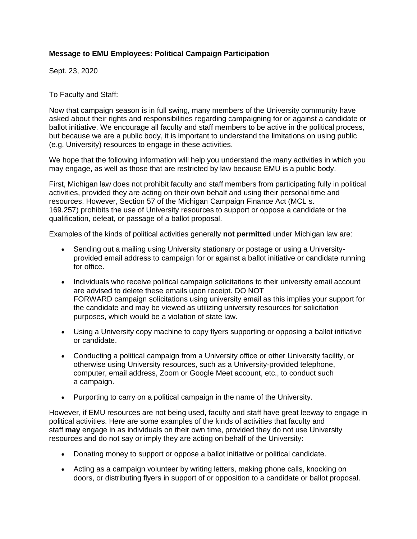## **Message to EMU Employees: Political Campaign Participation**

Sept. 23, 2020

To Faculty and Staff:

Now that campaign season is in full swing, many members of the University community have asked about their rights and responsibilities regarding campaigning for or against a candidate or ballot initiative. We encourage all faculty and staff members to be active in the political process, but because we are a public body, it is important to understand the limitations on using public (e.g. University) resources to engage in these activities.

We hope that the following information will help you understand the many activities in which you may engage, as well as those that are restricted by law because EMU is a public body.

First, Michigan law does not prohibit faculty and staff members from participating fully in political activities, provided they are acting on their own behalf and using their personal time and resources. However, Section 57 of the Michigan Campaign Finance Act (MCL s. 169.257) prohibits the use of University resources to support or oppose a candidate or the qualification, defeat, or passage of a ballot proposal.

Examples of the kinds of political activities generally **not permitted** under Michigan law are:

- Sending out a mailing using University stationary or postage or using a Universityprovided email address to campaign for or against a ballot initiative or candidate running for office.
- Individuals who receive political campaign solicitations to their university email account are advised to delete these emails upon receipt. DO NOT FORWARD campaign solicitations using university email as this implies your support for the candidate and may be viewed as utilizing university resources for solicitation purposes, which would be a violation of state law.
- Using a University copy machine to copy flyers supporting or opposing a ballot initiative or candidate.
- Conducting a political campaign from a University office or other University facility, or otherwise using University resources, such as a University-provided telephone, computer, email address, Zoom or Google Meet account, etc., to conduct such a campaign.
- Purporting to carry on a political campaign in the name of the University.

However, if EMU resources are not being used, faculty and staff have great leeway to engage in political activities. Here are some examples of the kinds of activities that faculty and staff **may** engage in as individuals on their own time, provided they do not use University resources and do not say or imply they are acting on behalf of the University:

- Donating money to support or oppose a ballot initiative or political candidate.
- Acting as a campaign volunteer by writing letters, making phone calls, knocking on doors, or distributing flyers in support of or opposition to a candidate or ballot proposal.